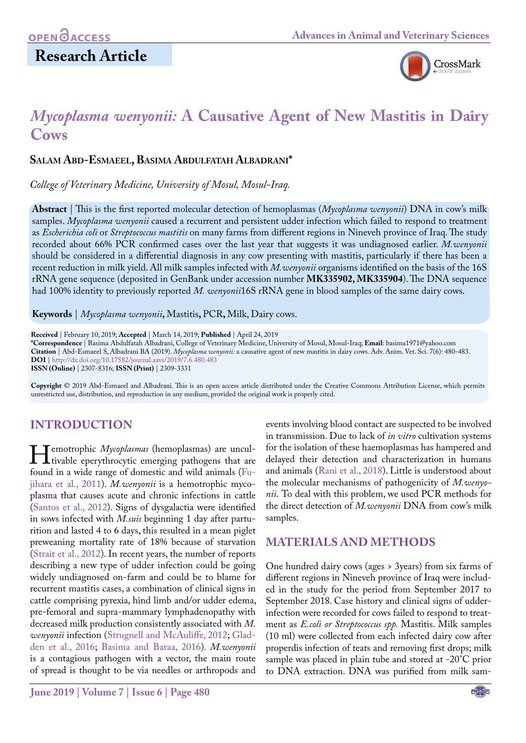

# *Mycoplasma wenyonii:* **A Causative Agent of New Mastitis in Dairy Cows**

#### **Salam Abd-Esmaeel, Basima Abdulfatah Albadrani\***

*College of Veterinary Medicine, University of Mosul, Mosul-Iraq.*

**Abstract** | This is the first reported molecular detection of hemoplasmas (*Mycoplasma wenyonii*) DNA in cow's milk samples. *Mycoplasma wenyonii* caused a recurrent and persistent udder infection which failed to respond to treatment as *Escherichia coli* or *Streptococcus mastitis* on many farms from different regions in Nineveh province of Iraq. The study recorded about 66% PCR confirmed cases over the last year that suggests it was undiagnosed earlier. *M.wenyonii* should be considered in a differential diagnosis in any cow presenting with mastitis, particularly if there has been a recent reduction in milk yield. All milk samples infected with *M.wenyonii* organisms identified on the basis of the 16S rRNA gene sequence (deposited in GenBank under accession number **MK335902, MK335904**). The DNA sequence had 100% identity to previously reported *M. wenyonii*16S rRNA gene in blood samples of the same dairy cows.

**Keywords** | *Mycoplasma wenyonii***,** Mastitis**,** PCR**,** Milk, Dairy cows.

**Received** | February 10, 2019; **Accepted** | March 14, 2019; **Published** | April 24, 2019

**\*Correspondence** | Basima Abdulfatah Albadrani, College of Veterinary Medicine, University of Mosul, Mosul-Iraq; **Email**: basima1971@yahoo.com **Citation** | Abd-Esmaeel S, Albadrani BA (2019). *Mycoplasma wenyonii:* a causative agent of new mastitis in dairy cows. Adv. Anim. Vet. Sci. 7(6): 480-483. **DOI** | [http://dx.doi.org/10.17582/journal.aavs/2019](http://dx.doi.org/10.17582/journal.aavs/2019/7.6.480.483)/7.6.480.483

**ISSN (Online)** | 2307-8316; **ISSN (Print)** | 2309-3331

**Copyright** © 2019 Abd-Esmaeel and Albadrani. This is an open access article distributed under the Creative Commons Attribution License, which permits unrestricted use, distribution, and reproduction in any medium, provided the original work is properly cited.

## **INTRODUCTION**

**Hemotrophic** *Mycoplasmas* (hemoplasmas) are uncultivable eperythrocytic emerging pathogens that are found in a wide range of domestic and wild animals (Fufound in a wide range of domestic and wild animals [\(Fu](#page-3-0)[jihara et al., 2011\)](#page-3-0). *M.wenyonii* is a hemotrophic mycoplasma that causes acute and chronic infections in cattle (Santos et al., 2012). Signs of dysgalactia were identified in sows infected with *M.suis* beginning 1 day after parturition and lasted 4 to 6 days, this resulted in a mean piglet preweaning mortality rate of 18% because of starvation (Strait et al., 2012). In recent years, the number of reports describing a new type of udder infection could be going widely undiagnosed on-farm and could be to blame for recurrent mastitis cases, a combination of clinical signs in cattle comprising pyrexia, hind limb and/or udder edema, pre-femoral and supra-mammary lymphadenopathy with decreased milk production consistently associated with *M. wenyonii* infection [\(Strugnell and McAuliffe, 2012](#page-3-1); [Glad](#page-3-2)[den et al., 2016;](#page-3-2) [Basima and Baraa, 2016](#page-2-0))*. M.wenyonii* is a contagious pathogen with a vector, the main route of spread is thought to be via needles or arthropods and

**June 2019 | Volume 7 | Issue 6 | Page 480**

events involving blood contact are suspected to be involved in transmission. Due to lack of *in vitro* cultivation systems for the isolation of these haemoplasmas has hampered and delayed their detection and characterization in humans and animals [\(Rani et al., 2018\)](#page-3-3). Little is understood about the molecular mechanisms of pathogenicity of *M.wenyonii*. To deal with this problem, we used PCR methods for the direct detection of *M.wenyonii* DNA from cow's milk samples.

## **MATERIALS AND METHODS**

One hundred dairy cows (ages > 3years) from six farms of different regions in Nineveh province of Iraq were included in the study for the period from September 2017 to September 2018. Case history and clinical signs of udderinfection were recorded for cows failed to respond to treatment as *E.coli or Streptococcus spp.* Mastitis. Milk samples (10 ml) were collected from each infected dairy cow after properdis infection of teats and removing first drops; milk sample was placed in plain tube and stored at -20°C prior to DNA extraction. DNA was purified from milk sam-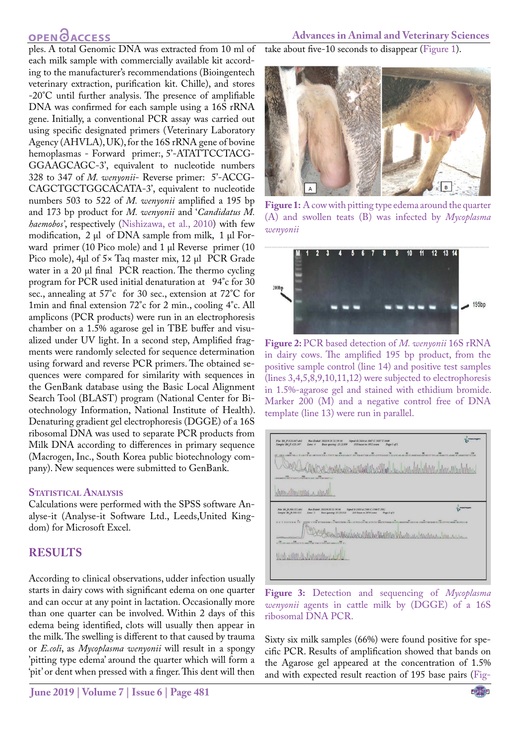## **OPENOACCESS**

ples. A total Genomic DNA was extracted from 10 ml of each milk sample with commercially available kit according to the manufacturer's recommendations (Bioingentech veterinary extraction, purification kit. Chille), and stores -20°C until further analysis. The presence of amplifiable DNA was confirmed for each sample using a 16S rRNA gene. Initially, a conventional PCR assay was carried out using specific designated primers (Veterinary Laboratory Agency (AHVLA), UK), for the 16S rRNA gene of bovine hemoplasmas - Forward primer:, 5'-ATATTCCTACG-GGAAGCAGC-3', equivalent to nucleotide numbers 328 to 347 of *M. wenyonii*- Reverse primer: 5'-ACCG-CAGCTGCTGGCACATA-3', equivalent to nucleotide numbers 503 to 522 of *M. wenyonii* amplified a 195 bp and 173 bp product for *M. wenyonii* and '*Candidatus M. haemobos'*, respectively ([Nishizawa, et al., 2010\)](#page-3-4) with few modification,  $2 \mu l$  of DNA sample from milk,  $1 \mu l$  Forward primer (10 Pico mole) and 1 µl Reverse primer (10 Pico mole), 4µl of 5× Taq master mix, 12 µl PCR Grade water in a 20 µl final PCR reaction. The thermo cycling program for PCR used initial denaturation at 94°c for 30 sec., annealing at 57°c for 30 sec., extension at 72°C for 1min and final extension 72°c for 2 min., cooling 4°c. All amplicons (PCR products) were run in an electrophoresis chamber on a 1.5% agarose gel in TBE buffer and visualized under UV light. In a second step, Amplified fragments were randomly selected for sequence determination using forward and reverse PCR primers. The obtained sequences were compared for similarity with sequences in the GenBank database using the Basic Local Alignment Search Tool (BLAST) program (National Center for Biotechnology Information, National Institute of Health). Denaturing gradient gel electrophoresis (DGGE) of a 16S ribosomal DNA was used to separate PCR products from Milk DNA according to differences in primary sequence (Macrogen, Inc., South Korea public biotechnology company). New sequences were submitted to GenBank.

#### **Statistical Analysis**

Calculations were performed with the SPSS software Analyse-it (Analyse-it Software Ltd., Leeds,United Kingdom) for Microsoft Excel.

## **RESULTS**

According to clinical observations, udder infection usually starts in dairy cows with significant edema on one quarter and can occur at any point in lactation. Occasionally more than one quarter can be involved. Within 2 days of this edema being identified, clots will usually then appear in the milk. The swelling is different to that caused by trauma or *E.coli*, as *Mycoplasma wenyonii* will result in a spongy 'pitting type edema' around the quarter which will form a 'pit' or dent when pressed with a finger. This dent will then

#### **Advances in Animal and Veterinary Sciences**

take about five-10 seconds to disappear ([Figure 1](#page-1-0)).



**Figure 1:** A cow with pitting type edema around the quarter (A) and swollen teats (B) was infected by *Mycoplasma wenyonii* 

<span id="page-1-0"></span>

<span id="page-1-1"></span>**Figure 2:** PCR based detection of *M. wenyonii* 16S rRNA in dairy cows. The amplified 195 bp product, from the positive sample control (line 14) and positive test samples (lines 3,4,5,8,9,10,11,12) were subjected to electrophoresis in 1.5%-agarose gel and stained with ethidium bromide. Marker 200 (M) and a negative control free of DNA template (line 13) were run in parallel.



<span id="page-1-2"></span>**Figure 3:** Detection and sequencing of *Mycoplasma wenyonii* agents in cattle milk by (DGGE) of a 16S ribosomal DNA PCR.

Sixty six milk samples (66%) were found positive for specific PCR. Results of amplification showed that bands on the Agarose gel appeared at the concentration of 1.5% and with expected result reaction of 195 base pairs [\(Fig-](#page-1-1)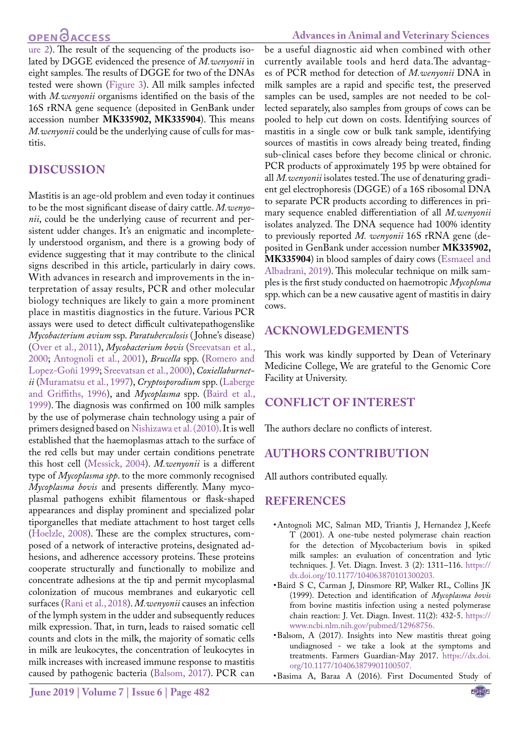[ure 2\)](#page-1-1). The result of the sequencing of the products isolated by DGGE evidenced the presence of *M.wenyonii* in eight samples*.* The results of DGGE for two of the DNAs tested were shown ([Figure 3](#page-1-2)). All milk samples infected with *M.wenyonii* organisms identified on the basis of the 16S rRNA gene sequence (deposited in GenBank under accession number **MK335902, MK335904**). This means *M.wenyonii* could be the underlying cause of culls for mastitis.

#### **DISCUSSION**

Mastitis is an age-old problem and even today it continues to be the most significant disease of dairy cattle. *M.wenyonii*, could be the underlying cause of recurrent and persistent udder changes. It's an enigmatic and incompletely understood organism, and there is a growing body of evidence suggesting that it may contribute to the clinical signs described in this article, particularly in dairy cows. With advances in research and improvements in the interpretation of assay results, PCR and other molecular biology techniques are likely to gain a more prominent place in mastitis diagnostics in the future. Various PCR assays were used to detect difficult cultivatepathogenslike *Mycobacterium avium* ssp. *Paratuberculosis* ( Johne's disease) (Over et al., 2011), *Mycobacterium bovis* [\(Sreevatsan et al.,](#page-3-5) [2000](#page-3-5); [Antognoli et al., 2001\)](#page-2-1), *Brucella* spp. [\(Romero and](#page-3-6) [Lopez-Goñi 1999;](#page-3-6) [Sreevatsan et al., 2000](#page-3-5)), *Coxiellaburnetii* (Muramatsu et al., 1997), *Cryptosporodium* spp. [\(Laberge](#page-3-7) [and Griffiths, 1996\)](#page-3-7), and *Mycoplasma* spp. ([Baird et al.,](#page-2-2) [1999](#page-2-2)). The diagnosis was confirmed on 100 milk samples by the use of polymerase chain technology using a pair of primers designed based on [Nishizawa et al. \(2010\).](#page-3-4) It is well established that the haemoplasmas attach to the surface of the red cells but may under certain conditions penetrate this host cell [\(Messick, 2004](#page-3-8)). *M.wenyonii* is a different type of *Mycoplasma spp*. to the more commonly recognised *Mycoplasma bovis* and presents differently. Many mycoplasmal pathogens exhibit filamentous or flask-shaped appearances and display prominent and specialized polar tiporganelles that mediate attachment to host target cells ([Hoelzle, 2008](#page-3-9)). These are the complex structures, composed of a network of interactive proteins, designated adhesions, and adherence accessory proteins. These proteins cooperate structurally and functionally to mobilize and concentrate adhesions at the tip and permit mycoplasmal colonization of mucous membranes and eukaryotic cell surfaces ([Rani et al., 2018](#page-3-3)). *M.wenyonii* causes an infection of the lymph system in the udder and subsequently reduces milk expression. That, in turn, leads to raised somatic cell counts and clots in the milk, the majority of somatic cells in milk are leukocytes, the concentration of leukocytes in milk increases with increased immune response to mastitis caused by pathogenic bacteria ([Balsom, 2017\)](#page-2-3). PCR can

be a useful diagnostic aid when combined with other currently available tools and herd data.The advantages of PCR method for detection of *M.wenyonii* DNA in milk samples are a rapid and specific test, the preserved samples can be used, samples are not needed to be collected separately, also samples from groups of cows can be pooled to help cut down on costs. Identifying sources of mastitis in a single cow or bulk tank sample, identifying sources of mastitis in cows already being treated, finding sub-clinical cases before they become clinical or chronic. PCR products of approximately 195 bp were obtained for all *M.wenyonii* isolates tested. The use of denaturing gradient gel electrophoresis (DGGE) of a 16S ribosomal DNA to separate PCR products according to differences in primary sequence enabled differentiation of all *M.wenyonii* isolates analyzed. The DNA sequence had 100% identity to previously reported *M. wenyonii* 16S rRNA gene (deposited in GenBank under accession number **MK335902, MK335904**) in blood samples of dairy cows [\(Esmaeel and](#page-3-10)  [Albadrani, 2019](#page-3-10)). This molecular technique on milk samples is the first study conducted on haemotropic *Mycoplsma*  spp. which can be a new causative agent of mastitis in dairy cows.

#### **ACKNOWLEDGEMENTS**

This work was kindly supported by Dean of Veterinary Medicine College, We are grateful to the Genomic Core Facility at University.

## **CONFLICT OF INTEREST**

The authors declare no conflicts of interest.

## **AUTHORS CONTRIBUTION**

All authors contributed equally.

#### **REFERENCES**

- <span id="page-2-1"></span>• Antognoli MC, Salman MD, Triantis J, Hernandez J, Keefe T (2001). A one-tube nested polymerase chain reaction for the detection of Mycobacterium bovis in spiked milk samples: an evaluation of concentration and lytic techniques. J. Vet. Diagn. Invest. 3 (2): 1311–116. https:// dx.doi.org[/10.1177/104063870101300203.](https://doi.org/10.1177/104063870101300203)
- <span id="page-2-2"></span>• Baird S C, Carman J, Dinsmore RP, Walker RL, Collins JK (1999). Detection and identification of *Mycoplasma bovis* from bovine mastitis infection using a nested polymerase chain reaction: J. Vet. Diagn. Invest. 11(2): 432-5. [https://](https://www.ncbi.nlm.nih.gov/pubmed/12968756. ) [www.ncbi.nlm.nih.gov/pubmed/12968756.](https://www.ncbi.nlm.nih.gov/pubmed/12968756. )
- <span id="page-2-3"></span>• Balsom, A (2017). Insights into New mastitis threat going undiagnosed - we take a look at the symptoms and treatments. Farmers Guardian-May 2017. https://dx.doi. org/[10.1177/104063879901100507.](https://doi.org/10.1177/104063879901100507)
- <span id="page-2-0"></span>• Basima A, Baraa A (2016). First Documented Study of